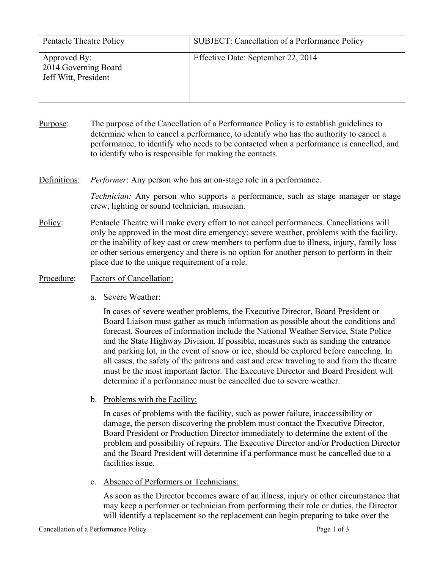| Pentacle Theatre Policy                                      | SUBJECT: Cancellation of a Performance Policy |
|--------------------------------------------------------------|-----------------------------------------------|
| Approved By:<br>2014 Governing Board<br>Jeff Witt, President | Effective Date: September 22, 2014            |

- Purpose: The purpose of the Cancellation of a Performance Policy is to establish guidelines to determine when to cancel a performance, to identify who has the authority to cancel a performance, to identify who needs to be contacted when a performance is cancelled, and to identify who is responsible for making the contacts.
- Definitions: *Performer*: Any person who has an on-stage role in a performance.

*Technician:* Any person who supports a performance, such as stage manager or stage crew, lighting or sound technician, musician.

- Policy: Pentacle Theatre will make every effort to not cancel performances. Cancellations will only be approved in the most dire emergency: severe weather, problems with the facility, or the inability of key cast or crew members to perform due to illness, injury, family loss or other serious emergency and there is no option for another person to perform in their place due to the unique requirement of a role.
- Procedure: Factors of Cancellation:
	- a. Severe Weather:

In cases of severe weather problems, the Executive Director, Board President or Board Liaison must gather as much information as possible about the conditions and forecast. Sources of information include the National Weather Service, State Police and the State Highway Division. If possible, measures such as sanding the entrance and parking lot, in the event of snow or ice, should be explored before canceling. In all cases, the safety of the patrons and cast and crew traveling to and from the theatre must be the most important factor. The Executive Director and Board President will determine if a performance must be cancelled due to severe weather.

b. Problems with the Facility:

In cases of problems with the facility, such as power failure, inaccessibility or damage, the person discovering the problem must contact the Executive Director, Board President or Production Director immediately to determine the extent of the problem and possibility of repairs. The Executive Director and/or Production Director and the Board President will determine if a performance must be cancelled due to a facilities issue.

c. Absence of Performers or Technicians:

As soon as the Director becomes aware of an illness, injury or other circumstance that may keep a performer or technician from performing their role or duties, the Director will identify a replacement so the replacement can begin preparing to take over the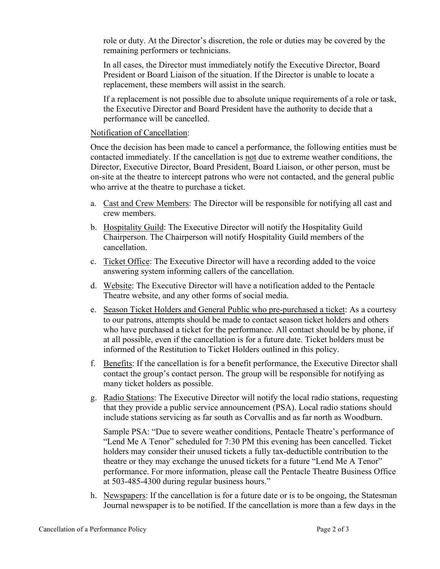role or duty. At the Director's discretion, the role or duties may be covered by the remaining performers or technicians.

In all cases, the Director must immediately notify the Executive Director, Board President or Board Liaison of the situation. If the Director is unable to locate a replacement, these members will assist in the search.

If a replacement is not possible due to absolute unique requirements of a role or task, the Executive Director and Board President have the authority to decide that a performance will be cancelled.

## Notification of Cancellation:

Once the decision has been made to cancel a performance, the following entities must be contacted immediately. If the cancellation is not due to extreme weather conditions, the Director, Executive Director, Board President, Board Liaison, or other person, must be on-site at the theatre to intercept patrons who were not contacted, and the general public who arrive at the theatre to purchase a ticket.

- a. Cast and Crew Members: The Director will be responsible for notifying all cast and crew members.
- b. Hospitality Guild: The Executive Director will notify the Hospitality Guild Chairperson. The Chairperson will notify Hospitality Guild members of the cancellation.
- c. Ticket Office: The Executive Director will have a recording added to the voice answering system informing callers of the cancellation.
- d. Website: The Executive Director will have a notification added to the Pentacle Theatre website, and any other forms of social media.
- e. Season Ticket Holders and General Public who pre-purchased a ticket: As a courtesy to our patrons, attempts should be made to contact season ticket holders and others who have purchased a ticket for the performance. All contact should be by phone, if at all possible, even if the cancellation is for a future date. Ticket holders must be informed of the Restitution to Ticket Holders outlined in this policy.
- f. Benefits: If the cancellation is for a benefit performance, the Executive Director shall contact the group's contact person. The group will be responsible for notifying as many ticket holders as possible.
- g. Radio Stations: The Executive Director will notify the local radio stations, requesting that they provide a public service announcement (PSA). Local radio stations should include stations servicing as far south as Corvallis and as far north as Woodburn.

Sample PSA: "Due to severe weather conditions, Pentacle Theatre's performance of "Lend Me A Tenor" scheduled for 7:30 PM this evening has been cancelled. Ticket holders may consider their unused tickets a fully tax-deductible contribution to the theatre or they may exchange the unused tickets for a future "Lend Me A Tenor" performance. For more information, please call the Pentacle Theatre Business Office at 503-485-4300 during regular business hours."

h. Newspapers: If the cancellation is for a future date or is to be ongoing, the Statesman Journal newspaper is to be notified. If the cancellation is more than a few days in the